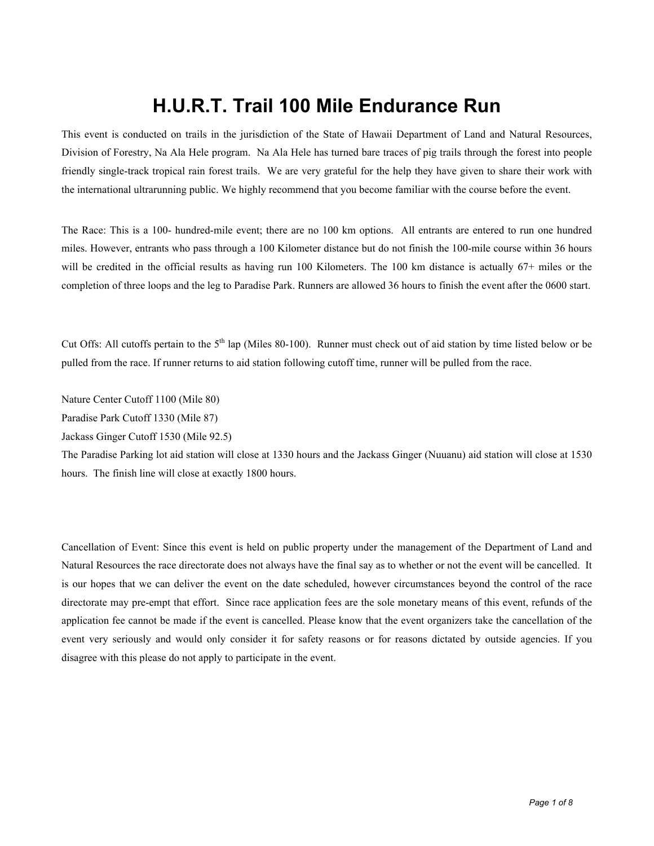# **H.U.R.T. Trail 100 Mile Endurance Run**

This event is conducted on trails in the jurisdiction of the State of Hawaii Department of Land and Natural Resources, Division of Forestry, Na Ala Hele program. Na Ala Hele has turned bare traces of pig trails through the forest into people friendly single-track tropical rain forest trails. We are very grateful for the help they have given to share their work with the international ultrarunning public. We highly recommend that you become familiar with the course before the event.

The Race: This is a 100- hundred-mile event; there are no 100 km options. All entrants are entered to run one hundred miles. However, entrants who pass through a 100 Kilometer distance but do not finish the 100-mile course within 36 hours will be credited in the official results as having run 100 Kilometers. The 100 km distance is actually 67+ miles or the completion of three loops and the leg to Paradise Park. Runners are allowed 36 hours to finish the event after the 0600 start.

Cut Offs: All cutoffs pertain to the  $5<sup>th</sup>$  lap (Miles 80-100). Runner must check out of aid station by time listed below or be pulled from the race. If runner returns to aid station following cutoff time, runner will be pulled from the race.

Nature Center Cutoff 1100 (Mile 80)

Paradise Park Cutoff 1330 (Mile 87)

Jackass Ginger Cutoff 1530 (Mile 92.5)

The Paradise Parking lot aid station will close at 1330 hours and the Jackass Ginger (Nuuanu) aid station will close at 1530 hours. The finish line will close at exactly 1800 hours.

Cancellation of Event: Since this event is held on public property under the management of the Department of Land and Natural Resources the race directorate does not always have the final say as to whether or not the event will be cancelled. It is our hopes that we can deliver the event on the date scheduled, however circumstances beyond the control of the race directorate may pre-empt that effort. Since race application fees are the sole monetary means of this event, refunds of the application fee cannot be made if the event is cancelled. Please know that the event organizers take the cancellation of the event very seriously and would only consider it for safety reasons or for reasons dictated by outside agencies. If you disagree with this please do not apply to participate in the event.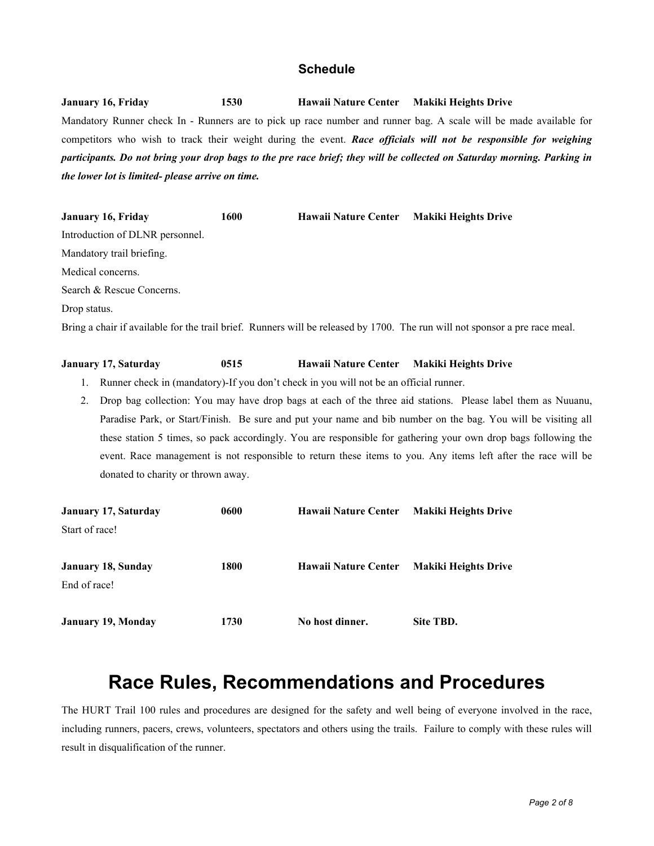#### **Schedule**

**January 16, Friday 1530 Hawaii Nature Center Makiki Heights Drive** Mandatory Runner check In - Runners are to pick up race number and runner bag. A scale will be made available for competitors who wish to track their weight during the event. *Race officials will not be responsible for weighing participants. Do not bring your drop bags to the pre race brief; they will be collected on Saturday morning. Parking in the lower lot is limited- please arrive on time.*

| <b>January 16, Friday</b>       | 1600 | Hawaii Nature Center Makiki Heights Drive                                                                                   |
|---------------------------------|------|-----------------------------------------------------------------------------------------------------------------------------|
| Introduction of DLNR personnel. |      |                                                                                                                             |
| Mandatory trail briefing.       |      |                                                                                                                             |
| Medical concerns.               |      |                                                                                                                             |
| Search & Rescue Concerns.       |      |                                                                                                                             |
| Drop status.                    |      |                                                                                                                             |
|                                 |      | Bring a chair if available for the trail brief. Runners will be released by 1700. The run will not sponsor a pre race meal. |

#### **January 17, Saturday 0515 Hawaii Nature Center Makiki Heights Drive**

1. Runner check in (mandatory)-If you don't check in you will not be an official runner.

2. Drop bag collection: You may have drop bags at each of the three aid stations. Please label them as Nuuanu, Paradise Park, or Start/Finish. Be sure and put your name and bib number on the bag. You will be visiting all these station 5 times, so pack accordingly. You are responsible for gathering your own drop bags following the event. Race management is not responsible to return these items to you. Any items left after the race will be donated to charity or thrown away.

| <b>January 17, Saturday</b> | 0600 | Hawaii Nature Center | <b>Makiki Heights Drive</b> |
|-----------------------------|------|----------------------|-----------------------------|
| Start of race!              |      |                      |                             |
| <b>January 18, Sunday</b>   | 1800 | Hawaii Nature Center | <b>Makiki Heights Drive</b> |
| End of race!                |      |                      |                             |
| <b>January 19, Monday</b>   | 1730 | No host dinner.      | Site TBD.                   |

## **Race Rules, Recommendations and Procedures**

The HURT Trail 100 rules and procedures are designed for the safety and well being of everyone involved in the race, including runners, pacers, crews, volunteers, spectators and others using the trails. Failure to comply with these rules will result in disqualification of the runner.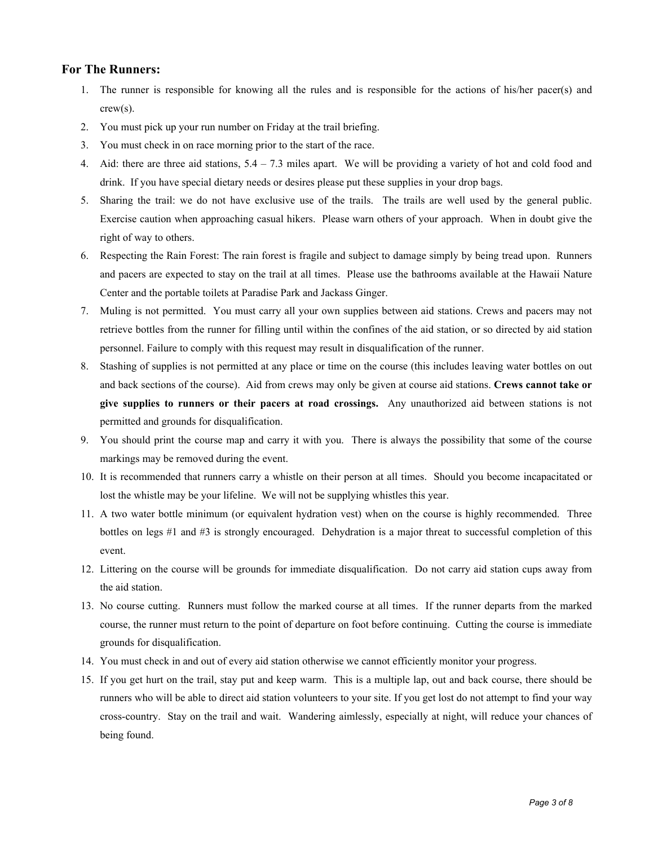#### **For The Runners:**

- 1. The runner is responsible for knowing all the rules and is responsible for the actions of his/her pacer(s) and crew(s).
- 2. You must pick up your run number on Friday at the trail briefing.
- 3. You must check in on race morning prior to the start of the race.
- 4. Aid: there are three aid stations,  $5.4 7.3$  miles apart. We will be providing a variety of hot and cold food and drink. If you have special dietary needs or desires please put these supplies in your drop bags.
- 5. Sharing the trail: we do not have exclusive use of the trails. The trails are well used by the general public. Exercise caution when approaching casual hikers. Please warn others of your approach. When in doubt give the right of way to others.
- 6. Respecting the Rain Forest: The rain forest is fragile and subject to damage simply by being tread upon. Runners and pacers are expected to stay on the trail at all times. Please use the bathrooms available at the Hawaii Nature Center and the portable toilets at Paradise Park and Jackass Ginger.
- 7. Muling is not permitted. You must carry all your own supplies between aid stations. Crews and pacers may not retrieve bottles from the runner for filling until within the confines of the aid station, or so directed by aid station personnel. Failure to comply with this request may result in disqualification of the runner.
- 8. Stashing of supplies is not permitted at any place or time on the course (this includes leaving water bottles on out and back sections of the course). Aid from crews may only be given at course aid stations. **Crews cannot take or give supplies to runners or their pacers at road crossings.** Any unauthorized aid between stations is not permitted and grounds for disqualification.
- 9. You should print the course map and carry it with you. There is always the possibility that some of the course markings may be removed during the event.
- 10. It is recommended that runners carry a whistle on their person at all times. Should you become incapacitated or lost the whistle may be your lifeline. We will not be supplying whistles this year.
- 11. A two water bottle minimum (or equivalent hydration vest) when on the course is highly recommended. Three bottles on legs #1 and #3 is strongly encouraged. Dehydration is a major threat to successful completion of this event.
- 12. Littering on the course will be grounds for immediate disqualification. Do not carry aid station cups away from the aid station.
- 13. No course cutting. Runners must follow the marked course at all times. If the runner departs from the marked course, the runner must return to the point of departure on foot before continuing. Cutting the course is immediate grounds for disqualification.
- 14. You must check in and out of every aid station otherwise we cannot efficiently monitor your progress.
- 15. If you get hurt on the trail, stay put and keep warm. This is a multiple lap, out and back course, there should be runners who will be able to direct aid station volunteers to your site. If you get lost do not attempt to find your way cross-country. Stay on the trail and wait. Wandering aimlessly, especially at night, will reduce your chances of being found.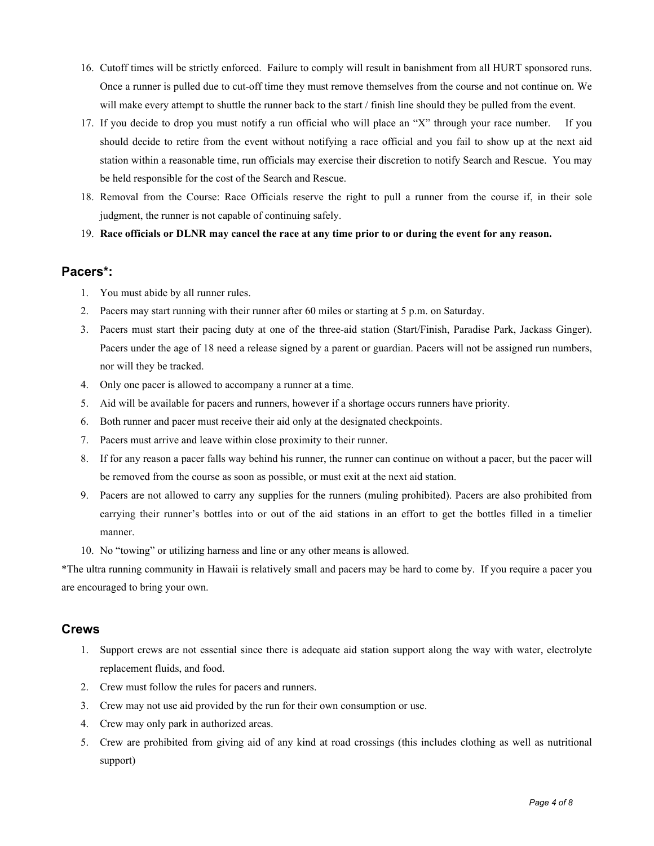- 16. Cutoff times will be strictly enforced. Failure to comply will result in banishment from all HURT sponsored runs. Once a runner is pulled due to cut-off time they must remove themselves from the course and not continue on. We will make every attempt to shuttle the runner back to the start / finish line should they be pulled from the event.
- 17. If you decide to drop you must notify a run official who will place an "X" through your race number. If you should decide to retire from the event without notifying a race official and you fail to show up at the next aid station within a reasonable time, run officials may exercise their discretion to notify Search and Rescue. You may be held responsible for the cost of the Search and Rescue.
- 18. Removal from the Course: Race Officials reserve the right to pull a runner from the course if, in their sole judgment, the runner is not capable of continuing safely.
- 19. **Race officials or DLNR may cancel the race at any time prior to or during the event for any reason.**

#### **Pacers\*:**

- 1. You must abide by all runner rules.
- 2. Pacers may start running with their runner after 60 miles or starting at 5 p.m. on Saturday.
- 3. Pacers must start their pacing duty at one of the three-aid station (Start/Finish, Paradise Park, Jackass Ginger). Pacers under the age of 18 need a release signed by a parent or guardian. Pacers will not be assigned run numbers, nor will they be tracked.
- 4. Only one pacer is allowed to accompany a runner at a time.
- 5. Aid will be available for pacers and runners, however if a shortage occurs runners have priority.
- 6. Both runner and pacer must receive their aid only at the designated checkpoints.
- 7. Pacers must arrive and leave within close proximity to their runner.
- 8. If for any reason a pacer falls way behind his runner, the runner can continue on without a pacer, but the pacer will be removed from the course as soon as possible, or must exit at the next aid station.
- 9. Pacers are not allowed to carry any supplies for the runners (muling prohibited). Pacers are also prohibited from carrying their runner's bottles into or out of the aid stations in an effort to get the bottles filled in a timelier manner.
- 10. No "towing" or utilizing harness and line or any other means is allowed.

\*The ultra running community in Hawaii is relatively small and pacers may be hard to come by. If you require a pacer you are encouraged to bring your own.

#### **Crews**

- 1. Support crews are not essential since there is adequate aid station support along the way with water, electrolyte replacement fluids, and food.
- 2. Crew must follow the rules for pacers and runners.
- 3. Crew may not use aid provided by the run for their own consumption or use.
- 4. Crew may only park in authorized areas.
- 5. Crew are prohibited from giving aid of any kind at road crossings (this includes clothing as well as nutritional support)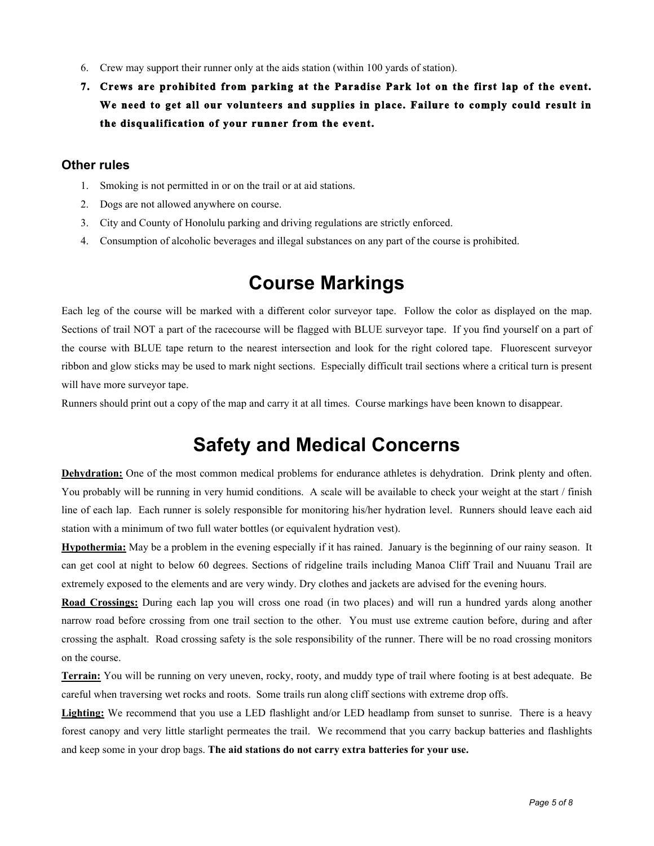- 6. Crew may support their runner only at the aids station (within 100 yards of station).
- **7. Crews are prohibited from parking at the Paradise Park lot on the first lap of the event. We need to get all our volunteers and supplies in place. Failure to comply could result in the disqualification of your runner from the event.**

#### **Other rules**

- 1. Smoking is not permitted in or on the trail or at aid stations.
- 2. Dogs are not allowed anywhere on course.
- 3. City and County of Honolulu parking and driving regulations are strictly enforced.
- 4. Consumption of alcoholic beverages and illegal substances on any part of the course is prohibited.

## **Course Markings**

Each leg of the course will be marked with a different color surveyor tape. Follow the color as displayed on the map. Sections of trail NOT a part of the racecourse will be flagged with BLUE surveyor tape. If you find yourself on a part of the course with BLUE tape return to the nearest intersection and look for the right colored tape. Fluorescent surveyor ribbon and glow sticks may be used to mark night sections. Especially difficult trail sections where a critical turn is present will have more surveyor tape.

Runners should print out a copy of the map and carry it at all times. Course markings have been known to disappear.

## **Safety and Medical Concerns**

**Dehydration:** One of the most common medical problems for endurance athletes is dehydration. Drink plenty and often. You probably will be running in very humid conditions. A scale will be available to check your weight at the start / finish line of each lap. Each runner is solely responsible for monitoring his/her hydration level. Runners should leave each aid station with a minimum of two full water bottles (or equivalent hydration vest).

**Hypothermia:** May be a problem in the evening especially if it has rained. January is the beginning of our rainy season. It can get cool at night to below 60 degrees. Sections of ridgeline trails including Manoa Cliff Trail and Nuuanu Trail are extremely exposed to the elements and are very windy. Dry clothes and jackets are advised for the evening hours.

**Road Crossings:** During each lap you will cross one road (in two places) and will run a hundred yards along another narrow road before crossing from one trail section to the other. You must use extreme caution before, during and after crossing the asphalt. Road crossing safety is the sole responsibility of the runner. There will be no road crossing monitors on the course.

**Terrain:** You will be running on very uneven, rocky, rooty, and muddy type of trail where footing is at best adequate. Be careful when traversing wet rocks and roots. Some trails run along cliff sections with extreme drop offs.

Lighting: We recommend that you use a LED flashlight and/or LED headlamp from sunset to sunrise. There is a heavy forest canopy and very little starlight permeates the trail. We recommend that you carry backup batteries and flashlights and keep some in your drop bags. **The aid stations do not carry extra batteries for your use.**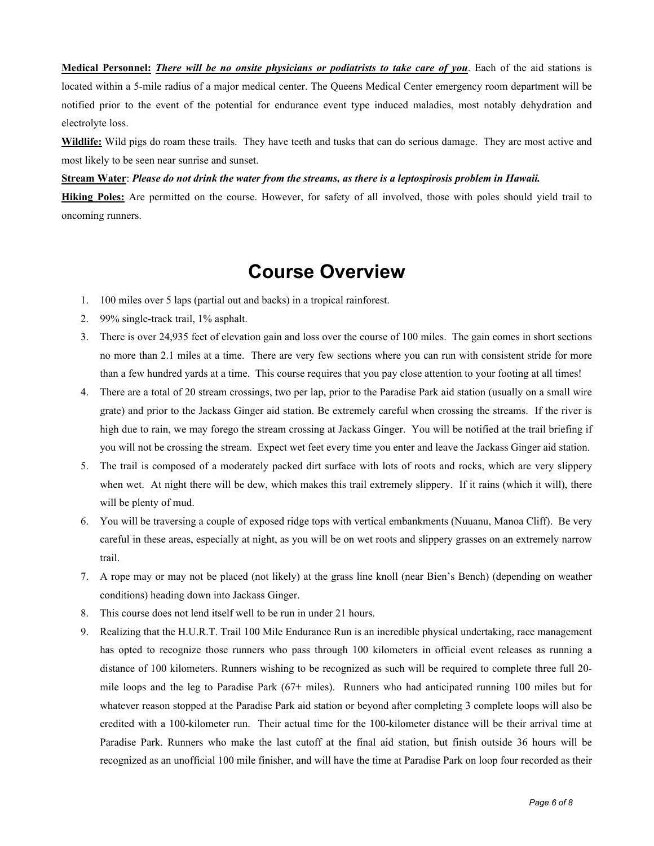**Medical Personnel:** *There will be no onsite physicians or podiatrists to take care of you*. Each of the aid stations is located within a 5-mile radius of a major medical center. The Queens Medical Center emergency room department will be notified prior to the event of the potential for endurance event type induced maladies, most notably dehydration and electrolyte loss.

**Wildlife:** Wild pigs do roam these trails. They have teeth and tusks that can do serious damage. They are most active and most likely to be seen near sunrise and sunset.

**Stream Water**: *Please do not drink the water from the streams, as there is a leptospirosis problem in Hawaii.*

**Hiking Poles:** Are permitted on the course. However, for safety of all involved, those with poles should yield trail to oncoming runners.

### **Course Overview**

- 1. 100 miles over 5 laps (partial out and backs) in a tropical rainforest.
- 2. 99% single-track trail, 1% asphalt.
- 3. There is over 24,935 feet of elevation gain and loss over the course of 100 miles. The gain comes in short sections no more than 2.1 miles at a time. There are very few sections where you can run with consistent stride for more than a few hundred yards at a time. This course requires that you pay close attention to your footing at all times!
- 4. There are a total of 20 stream crossings, two per lap, prior to the Paradise Park aid station (usually on a small wire grate) and prior to the Jackass Ginger aid station. Be extremely careful when crossing the streams. If the river is high due to rain, we may forego the stream crossing at Jackass Ginger. You will be notified at the trail briefing if you will not be crossing the stream. Expect wet feet every time you enter and leave the Jackass Ginger aid station.
- 5. The trail is composed of a moderately packed dirt surface with lots of roots and rocks, which are very slippery when wet. At night there will be dew, which makes this trail extremely slippery. If it rains (which it will), there will be plenty of mud.
- 6. You will be traversing a couple of exposed ridge tops with vertical embankments (Nuuanu, Manoa Cliff). Be very careful in these areas, especially at night, as you will be on wet roots and slippery grasses on an extremely narrow trail.
- 7. A rope may or may not be placed (not likely) at the grass line knoll (near Bien's Bench) (depending on weather conditions) heading down into Jackass Ginger.
- 8. This course does not lend itself well to be run in under 21 hours.
- 9. Realizing that the H.U.R.T. Trail 100 Mile Endurance Run is an incredible physical undertaking, race management has opted to recognize those runners who pass through 100 kilometers in official event releases as running a distance of 100 kilometers. Runners wishing to be recognized as such will be required to complete three full 20 mile loops and the leg to Paradise Park (67+ miles). Runners who had anticipated running 100 miles but for whatever reason stopped at the Paradise Park aid station or beyond after completing 3 complete loops will also be credited with a 100-kilometer run. Their actual time for the 100-kilometer distance will be their arrival time at Paradise Park. Runners who make the last cutoff at the final aid station, but finish outside 36 hours will be recognized as an unofficial 100 mile finisher, and will have the time at Paradise Park on loop four recorded as their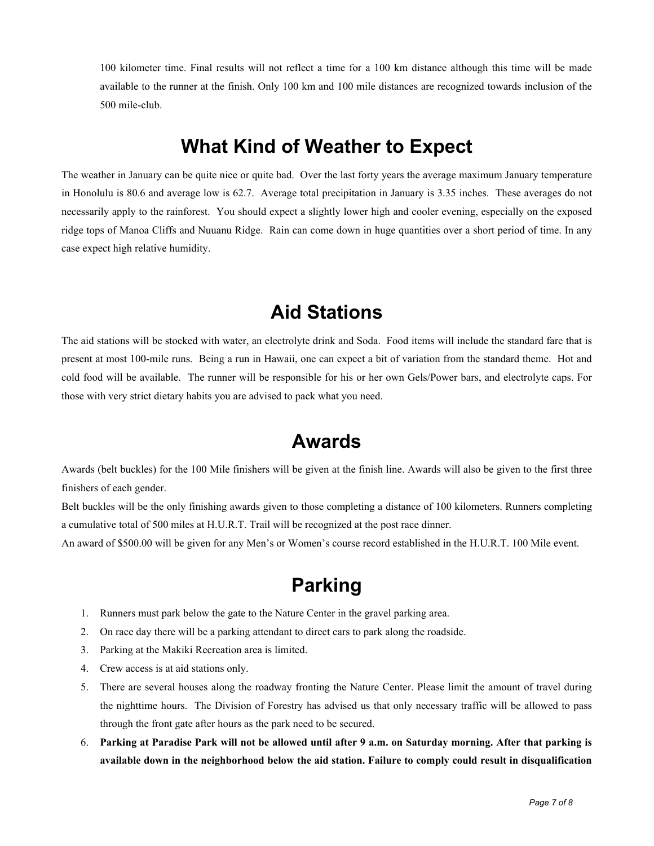100 kilometer time. Final results will not reflect a time for a 100 km distance although this time will be made available to the runner at the finish. Only 100 km and 100 mile distances are recognized towards inclusion of the 500 mile-club.

#### **What Kind of Weather to Expect**

The weather in January can be quite nice or quite bad. Over the last forty years the average maximum January temperature in Honolulu is 80.6 and average low is 62.7. Average total precipitation in January is 3.35 inches. These averages do not necessarily apply to the rainforest. You should expect a slightly lower high and cooler evening, especially on the exposed ridge tops of Manoa Cliffs and Nuuanu Ridge. Rain can come down in huge quantities over a short period of time. In any case expect high relative humidity.

### **Aid Stations**

The aid stations will be stocked with water, an electrolyte drink and Soda. Food items will include the standard fare that is present at most 100-mile runs. Being a run in Hawaii, one can expect a bit of variation from the standard theme. Hot and cold food will be available. The runner will be responsible for his or her own Gels/Power bars, and electrolyte caps. For those with very strict dietary habits you are advised to pack what you need.

## **Awards**

Awards (belt buckles) for the 100 Mile finishers will be given at the finish line. Awards will also be given to the first three finishers of each gender.

Belt buckles will be the only finishing awards given to those completing a distance of 100 kilometers. Runners completing a cumulative total of 500 miles at H.U.R.T. Trail will be recognized at the post race dinner.

An award of \$500.00 will be given for any Men's or Women's course record established in the H.U.R.T. 100 Mile event.

# **Parking**

- 1. Runners must park below the gate to the Nature Center in the gravel parking area.
- 2. On race day there will be a parking attendant to direct cars to park along the roadside.
- 3. Parking at the Makiki Recreation area is limited.
- 4. Crew access is at aid stations only.
- 5. There are several houses along the roadway fronting the Nature Center. Please limit the amount of travel during the nighttime hours. The Division of Forestry has advised us that only necessary traffic will be allowed to pass through the front gate after hours as the park need to be secured.
- 6. **Parking at Paradise Park will not be allowed until after 9 a.m. on Saturday morning. After that parking is available down in the neighborhood below the aid station. Failure to comply could result in disqualification**